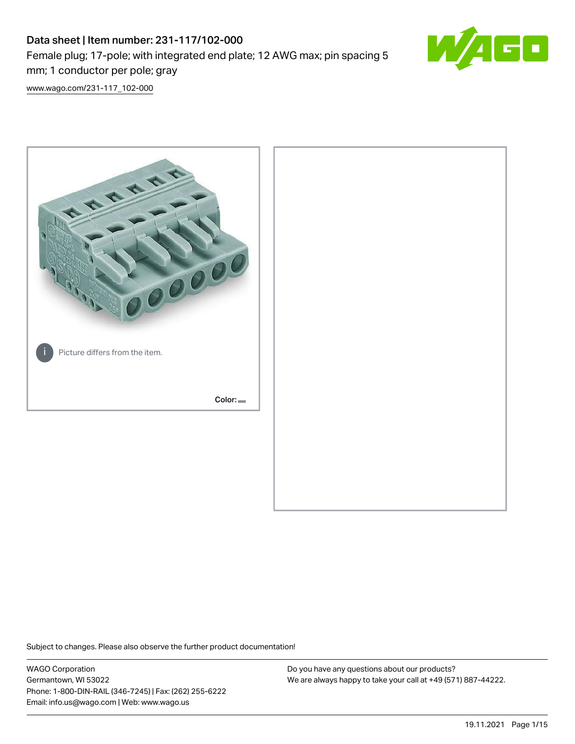# Data sheet | Item number: 231-117/102-000 Female plug; 17-pole; with integrated end plate; 12 AWG max; pin spacing 5 mm; 1 conductor per pole; gray



[www.wago.com/231-117\\_102-000](http://www.wago.com/231-117_102-000)



Subject to changes. Please also observe the further product documentation!

WAGO Corporation Germantown, WI 53022 Phone: 1-800-DIN-RAIL (346-7245) | Fax: (262) 255-6222 Email: info.us@wago.com | Web: www.wago.us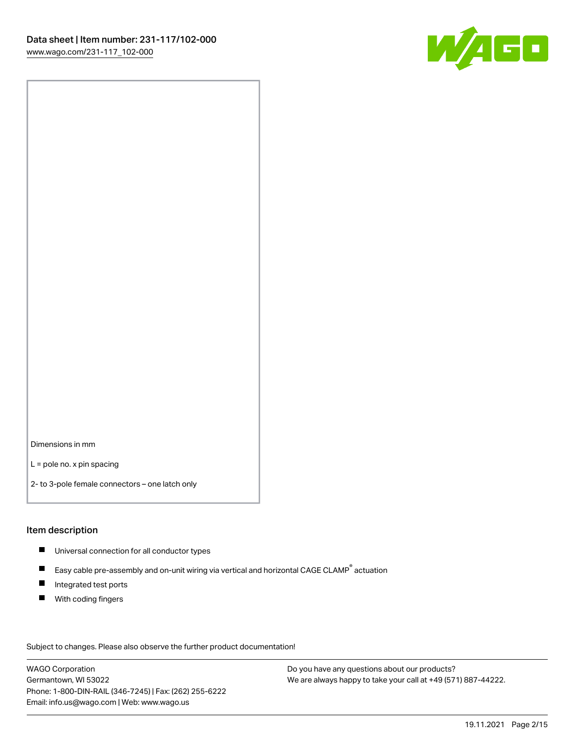

Dimensions in mm

L = pole no. x pin spacing

2- to 3-pole female connectors – one latch only

#### Item description

- **Universal connection for all conductor types**
- Easy cable pre-assembly and on-unit wiring via vertical and horizontal CAGE CLAMP<sup>®</sup> actuation  $\blacksquare$
- $\blacksquare$ Integrated test ports
- $\blacksquare$ With coding fingers

Subject to changes. Please also observe the further product documentation! Data

WAGO Corporation Germantown, WI 53022 Phone: 1-800-DIN-RAIL (346-7245) | Fax: (262) 255-6222 Email: info.us@wago.com | Web: www.wago.us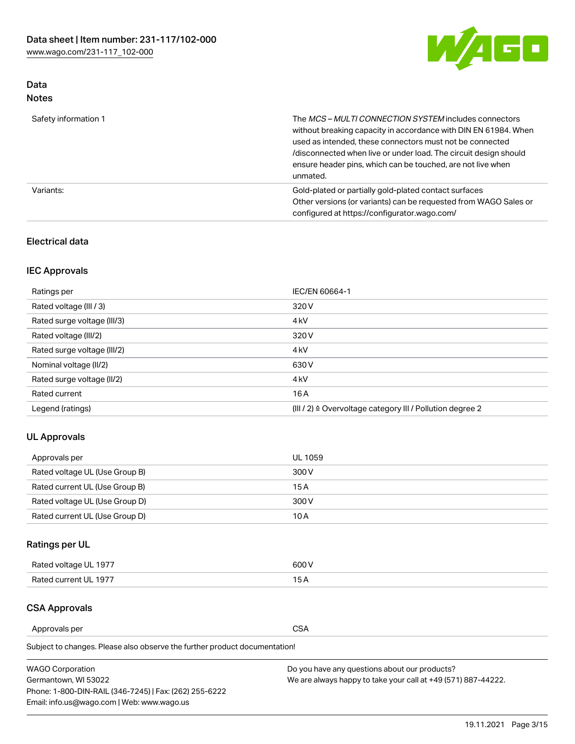

# Data Notes

| Safety information 1 | The MCS-MULTI CONNECTION SYSTEM includes connectors<br>without breaking capacity in accordance with DIN EN 61984. When<br>used as intended, these connectors must not be connected<br>/disconnected when live or under load. The circuit design should<br>ensure header pins, which can be touched, are not live when<br>unmated. |
|----------------------|-----------------------------------------------------------------------------------------------------------------------------------------------------------------------------------------------------------------------------------------------------------------------------------------------------------------------------------|
| Variants:            | Gold-plated or partially gold-plated contact surfaces<br>Other versions (or variants) can be requested from WAGO Sales or<br>configured at https://configurator.wago.com/                                                                                                                                                         |

#### Electrical data

## IEC Approvals

| Ratings per                 | IEC/EN 60664-1                                                        |
|-----------------------------|-----------------------------------------------------------------------|
| Rated voltage (III / 3)     | 320 V                                                                 |
| Rated surge voltage (III/3) | 4 <sub>k</sub> V                                                      |
| Rated voltage (III/2)       | 320 V                                                                 |
| Rated surge voltage (III/2) | 4 <sub>k</sub> V                                                      |
| Nominal voltage (II/2)      | 630 V                                                                 |
| Rated surge voltage (II/2)  | 4 <sub>k</sub> V                                                      |
| Rated current               | 16A                                                                   |
| Legend (ratings)            | $(III / 2)$ $\triangle$ Overvoltage category III / Pollution degree 2 |

## UL Approvals

| Approvals per                  | UL 1059 |
|--------------------------------|---------|
| Rated voltage UL (Use Group B) | 300 V   |
| Rated current UL (Use Group B) | 15 A    |
| Rated voltage UL (Use Group D) | 300 V   |
| Rated current UL (Use Group D) | 10 A    |

# Ratings per UL

| Rated voltage UL 1977 | 600 V         |
|-----------------------|---------------|
| Rated current UL 1977 | $\sim$ $\sim$ |

## CSA Approvals

Approvals per CSA

Subject to changes. Please also observe the further product documentation!

| <b>WAGO Corporation</b>                                | Do you have any questions about our products?                 |
|--------------------------------------------------------|---------------------------------------------------------------|
| Germantown, WI 53022                                   | We are always happy to take your call at +49 (571) 887-44222. |
| Phone: 1-800-DIN-RAIL (346-7245)   Fax: (262) 255-6222 |                                                               |
| Email: info.us@wago.com   Web: www.wago.us             |                                                               |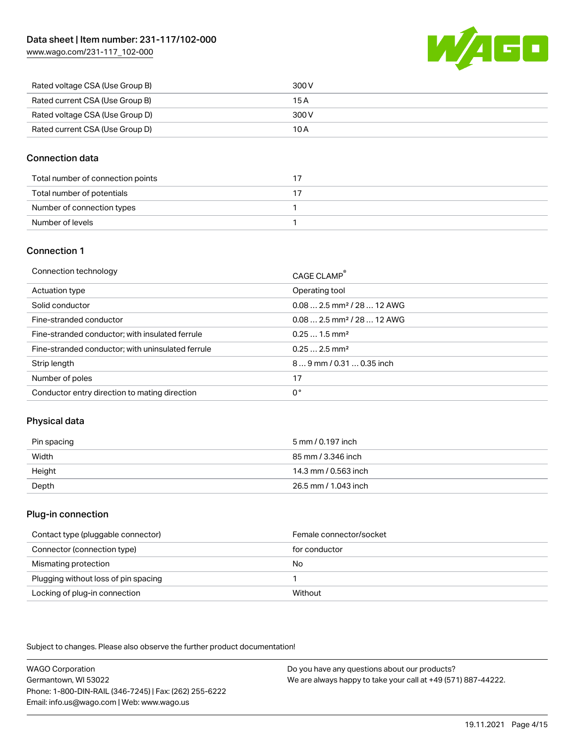[www.wago.com/231-117\\_102-000](http://www.wago.com/231-117_102-000)



| Rated voltage CSA (Use Group B) | 300 V |
|---------------------------------|-------|
| Rated current CSA (Use Group B) | 15 A  |
| Rated voltage CSA (Use Group D) | 300 V |
| Rated current CSA (Use Group D) | 10 A  |

#### Connection data

| Total number of connection points |  |
|-----------------------------------|--|
| Total number of potentials        |  |
| Number of connection types        |  |
| Number of levels                  |  |

#### Connection 1

| Connection technology                             | CAGE CLAMP®                             |
|---------------------------------------------------|-----------------------------------------|
| Actuation type                                    | Operating tool                          |
| Solid conductor                                   | $0.08$ 2.5 mm <sup>2</sup> / 28  12 AWG |
| Fine-stranded conductor                           | $0.082.5$ mm <sup>2</sup> / 28  12 AWG  |
| Fine-stranded conductor; with insulated ferrule   | $0.251.5$ mm <sup>2</sup>               |
| Fine-stranded conductor; with uninsulated ferrule | $0.252.5$ mm <sup>2</sup>               |
| Strip length                                      | $89$ mm / 0.31  0.35 inch               |
| Number of poles                                   | 17                                      |
| Conductor entry direction to mating direction     | 0°                                      |
|                                                   |                                         |

## Physical data

| Pin spacing | 5 mm / 0.197 inch    |
|-------------|----------------------|
| Width       | 85 mm / 3.346 inch   |
| Height      | 14.3 mm / 0.563 inch |
| Depth       | 26.5 mm / 1.043 inch |

#### Plug-in connection

| Contact type (pluggable connector)   | Female connector/socket |
|--------------------------------------|-------------------------|
| Connector (connection type)          | for conductor           |
| Mismating protection                 | No                      |
| Plugging without loss of pin spacing |                         |
| Locking of plug-in connection        | Without                 |

Subject to changes. Please also observe the further product documentation!

WAGO Corporation Germantown, WI 53022 Phone: 1-800-DIN-RAIL (346-7245) | Fax: (262) 255-6222 Email: info.us@wago.com | Web: www.wago.us Do you have any questions about our products? We are always happy to take your call at +49 (571) 887-44222.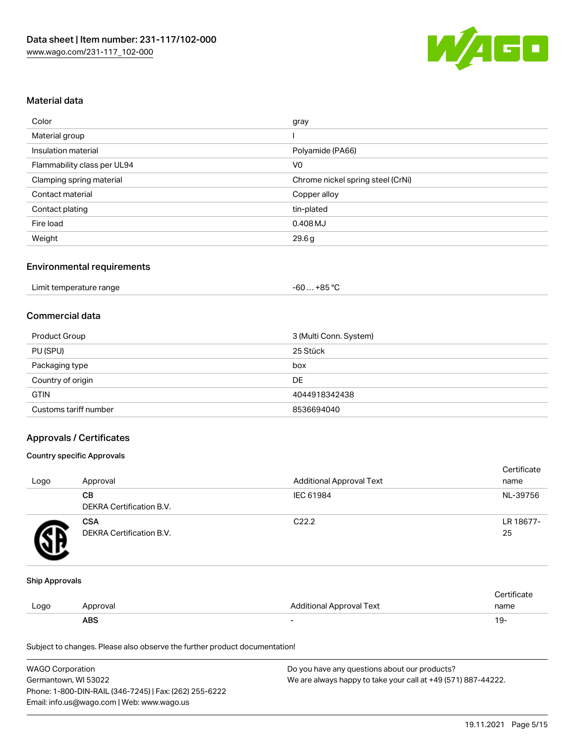

#### Material data

| Color                       | gray                              |
|-----------------------------|-----------------------------------|
| Material group              |                                   |
| Insulation material         | Polyamide (PA66)                  |
| Flammability class per UL94 | V <sub>0</sub>                    |
| Clamping spring material    | Chrome nickel spring steel (CrNi) |
| Contact material            | Copper alloy                      |
| Contact plating             | tin-plated                        |
| Fire load                   | $0.408$ MJ                        |
| Weight                      | 29.6g                             |

#### Environmental requirements

| Limit temperature range<br>. | $+85 °C$<br>-60 |  |
|------------------------------|-----------------|--|
|------------------------------|-----------------|--|

#### Commercial data

| Product Group         | 3 (Multi Conn. System) |
|-----------------------|------------------------|
| PU (SPU)              | 25 Stück               |
| Packaging type        | box                    |
| Country of origin     | DE                     |
| <b>GTIN</b>           | 4044918342438          |
| Customs tariff number | 8536694040             |

#### Approvals / Certificates

#### Country specific Approvals

| Logo | Approval                               | <b>Additional Approval Text</b> | Certificate<br>name |
|------|----------------------------------------|---------------------------------|---------------------|
|      | CВ<br>DEKRA Certification B.V.         | IEC 61984                       | NL-39756            |
|      | <b>CSA</b><br>DEKRA Certification B.V. | C <sub>22.2</sub>               | LR 18677-<br>25     |

#### Ship Approvals

|      | ABS      |                          | - ك ا       |
|------|----------|--------------------------|-------------|
| Logo | Approval | Additional Approval Text | name        |
|      |          |                          | ∵ertificate |

Subject to changes. Please also observe the further product documentation!

| <b>WAGO Corporation</b>                                | Do you have any questions about our products?                 |
|--------------------------------------------------------|---------------------------------------------------------------|
| Germantown, WI 53022                                   | We are always happy to take your call at +49 (571) 887-44222. |
| Phone: 1-800-DIN-RAIL (346-7245)   Fax: (262) 255-6222 |                                                               |
| Email: info.us@wago.com   Web: www.wago.us             |                                                               |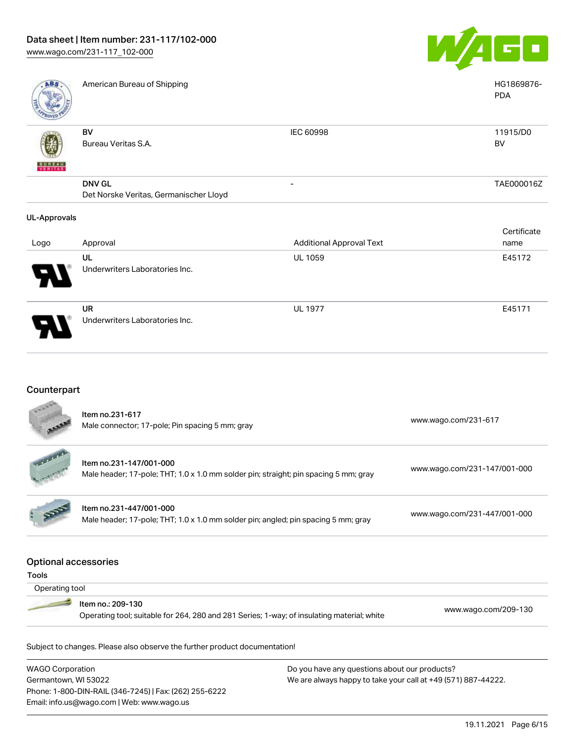

UL 1977 E45171

| ABS                      | American Bureau of Shipping            |                                 | HG1869876-<br><b>PDA</b> |
|--------------------------|----------------------------------------|---------------------------------|--------------------------|
|                          | BV                                     | IEC 60998                       | 11915/D0                 |
|                          | Bureau Veritas S.A.                    |                                 | BV                       |
| <b>BUREAU</b><br>VERITAS |                                        |                                 |                          |
|                          | <b>DNV GL</b>                          | -                               | TAE000016Z               |
|                          | Det Norske Veritas, Germanischer Lloyd |                                 |                          |
| <b>UL-Approvals</b>      |                                        |                                 |                          |
|                          |                                        |                                 | Certificate              |
| Logo                     | Approval                               | <b>Additional Approval Text</b> | name                     |
|                          | UL                                     | <b>UL 1059</b>                  | E45172                   |
|                          | Underwriters Laboratories Inc.         |                                 |                          |

UR Underwriters Laboratories Inc.

Phone: 1-800-DIN-RAIL (346-7245) | Fax: (262) 255-6222

Email: info.us@wago.com | Web: www.wago.us

# Counterpart

|                                      | Item no.231-617<br>Male connector; 17-pole; Pin spacing 5 mm; gray                                              | www.wago.com/231-617                                          |
|--------------------------------------|-----------------------------------------------------------------------------------------------------------------|---------------------------------------------------------------|
|                                      | Item no.231-147/001-000<br>Male header; 17-pole; THT; 1.0 x 1.0 mm solder pin; straight; pin spacing 5 mm; gray | www.wago.com/231-147/001-000                                  |
|                                      | Item no.231-447/001-000<br>Male header; 17-pole; THT; 1.0 x 1.0 mm solder pin; angled; pin spacing 5 mm; gray   | www.wago.com/231-447/001-000                                  |
| <b>Optional accessories</b><br>Tools |                                                                                                                 |                                                               |
| Operating tool                       |                                                                                                                 |                                                               |
|                                      | Item no.: 209-130<br>Operating tool; suitable for 264, 280 and 281 Series; 1-way; of insulating material; white | www.wago.com/209-130                                          |
|                                      | Subject to changes. Please also observe the further product documentation!                                      |                                                               |
| <b>WAGO Corporation</b>              |                                                                                                                 | Do you have any questions about our products?                 |
| Germantown, WI 53022                 |                                                                                                                 | We are always happy to take your call at +49 (571) 887-44222. |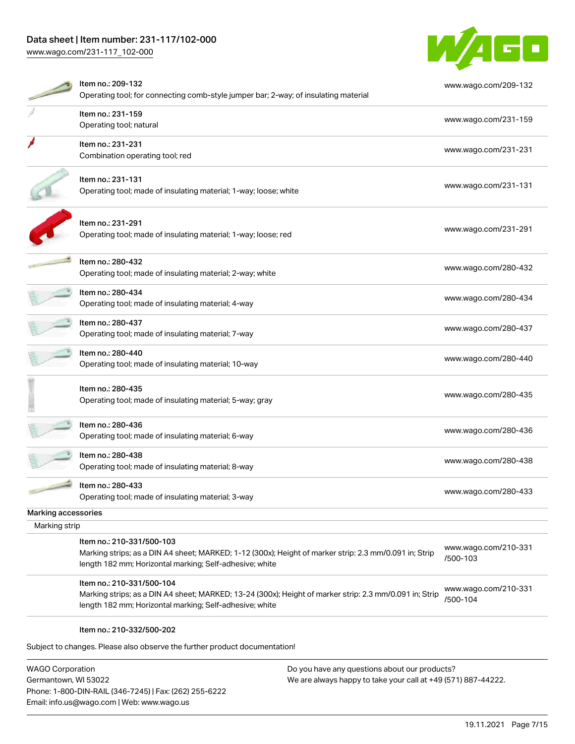# Data sheet | Item number: 231-117/102-000

[www.wago.com/231-117\\_102-000](http://www.wago.com/231-117_102-000)



| Item no.: 231-159<br>Operating tool; natural<br>Item no.: 231-231<br>Combination operating tool; red<br>Item no.: 231-131<br>Operating tool; made of insulating material; 1-way; loose; white  | www.wago.com/231-159<br>www.wago.com/231-231                                                                                                                       |
|------------------------------------------------------------------------------------------------------------------------------------------------------------------------------------------------|--------------------------------------------------------------------------------------------------------------------------------------------------------------------|
|                                                                                                                                                                                                |                                                                                                                                                                    |
|                                                                                                                                                                                                |                                                                                                                                                                    |
|                                                                                                                                                                                                | www.wago.com/231-131                                                                                                                                               |
| Item no.: 231-291<br>Operating tool; made of insulating material; 1-way; loose; red                                                                                                            | www.wago.com/231-291                                                                                                                                               |
| Item no.: 280-432<br>Operating tool; made of insulating material; 2-way; white                                                                                                                 | www.wago.com/280-432                                                                                                                                               |
| Item no.: 280-434<br>Operating tool; made of insulating material; 4-way                                                                                                                        | www.wago.com/280-434                                                                                                                                               |
| ltem no.: 280-437<br>Operating tool; made of insulating material; 7-way                                                                                                                        | www.wago.com/280-437                                                                                                                                               |
| Item no.: 280-440<br>Operating tool; made of insulating material; 10-way                                                                                                                       | www.wago.com/280-440                                                                                                                                               |
| Item no.: 280-435<br>Operating tool; made of insulating material; 5-way; gray                                                                                                                  | www.wago.com/280-435                                                                                                                                               |
| Item no.: 280-436<br>Operating tool; made of insulating material; 6-way                                                                                                                        | www.wago.com/280-436                                                                                                                                               |
| Item no.: 280-438<br>Operating tool; made of insulating material; 8-way                                                                                                                        | www.wago.com/280-438                                                                                                                                               |
| Item no.: 280-433<br>Operating tool; made of insulating material; 3-way                                                                                                                        | www.wago.com/280-433                                                                                                                                               |
|                                                                                                                                                                                                |                                                                                                                                                                    |
|                                                                                                                                                                                                |                                                                                                                                                                    |
| Item no.: 210-331/500-103<br>Marking strips; as a DIN A4 sheet; MARKED; 1-12 (300x); Height of marker strip: 2.3 mm/0.091 in; Strip<br>length 182 mm; Horizontal marking; Self-adhesive; white | www.wago.com/210-331<br>/500-103                                                                                                                                   |
| Item no.: 210-331/500-104                                                                                                                                                                      | www.wago.com/210-331<br>/500-104                                                                                                                                   |
|                                                                                                                                                                                                | Marking strips; as a DIN A4 sheet; MARKED; 13-24 (300x); Height of marker strip: 2.3 mm/0.091 in; Strip<br>length 182 mm; Horizontal marking; Self-adhesive; white |

WAGO Corporation Germantown, WI 53022 Phone: 1-800-DIN-RAIL (346-7245) | Fax: (262) 255-6222 Email: info.us@wago.com | Web: www.wago.us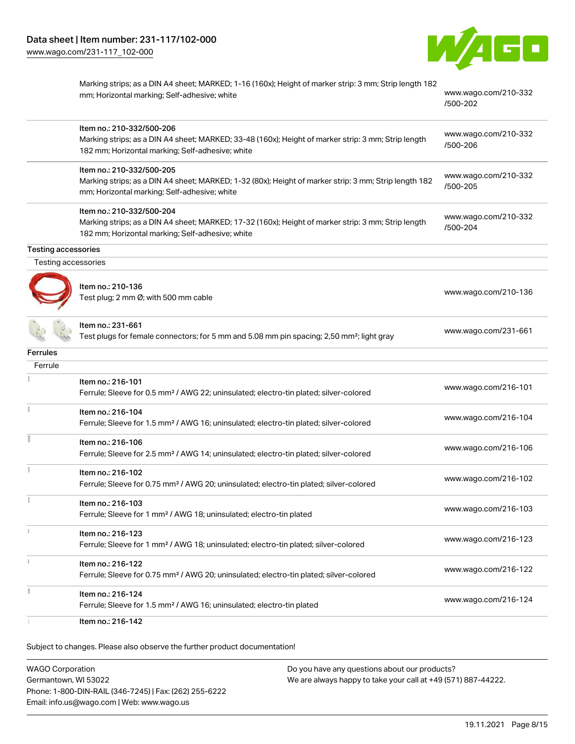

|                     | Marking strips; as a DIN A4 sheet; MARKED; 1-16 (160x); Height of marker strip: 3 mm; Strip length 182<br>mm; Horizontal marking; Self-adhesive; white                               | www.wago.com/210-332<br>/500-202 |
|---------------------|--------------------------------------------------------------------------------------------------------------------------------------------------------------------------------------|----------------------------------|
|                     | Item no.: 210-332/500-206<br>Marking strips; as a DIN A4 sheet; MARKED; 33-48 (160x); Height of marker strip: 3 mm; Strip length<br>182 mm; Horizontal marking; Self-adhesive; white | www.wago.com/210-332<br>/500-206 |
|                     | Item no.: 210-332/500-205<br>Marking strips; as a DIN A4 sheet; MARKED; 1-32 (80x); Height of marker strip: 3 mm; Strip length 182<br>mm; Horizontal marking; Self-adhesive; white   | www.wago.com/210-332<br>/500-205 |
|                     | Item no.: 210-332/500-204<br>Marking strips; as a DIN A4 sheet; MARKED; 17-32 (160x); Height of marker strip: 3 mm; Strip length<br>182 mm; Horizontal marking; Self-adhesive; white | www.wago.com/210-332<br>/500-204 |
| Testing accessories |                                                                                                                                                                                      |                                  |
| Testing accessories |                                                                                                                                                                                      |                                  |
|                     | Item no.: 210-136<br>Test plug; 2 mm Ø; with 500 mm cable                                                                                                                            | www.wago.com/210-136             |
|                     | Item no.: 231-661<br>Test plugs for female connectors; for 5 mm and 5.08 mm pin spacing; 2,50 mm <sup>2</sup> ; light gray                                                           | www.wago.com/231-661             |
| Ferrules            |                                                                                                                                                                                      |                                  |
| Ferrule             |                                                                                                                                                                                      |                                  |
|                     | Item no.: 216-101<br>Ferrule; Sleeve for 0.5 mm <sup>2</sup> / AWG 22; uninsulated; electro-tin plated; silver-colored                                                               | www.wago.com/216-101             |
| ÷                   | Item no.: 216-104<br>Ferrule; Sleeve for 1.5 mm <sup>2</sup> / AWG 16; uninsulated; electro-tin plated; silver-colored                                                               | www.wago.com/216-104             |
|                     | Item no.: 216-106<br>Ferrule; Sleeve for 2.5 mm <sup>2</sup> / AWG 14; uninsulated; electro-tin plated; silver-colored                                                               | www.wago.com/216-106             |
|                     | Item no.: 216-102<br>Ferrule; Sleeve for 0.75 mm <sup>2</sup> / AWG 20; uninsulated; electro-tin plated; silver-colored                                                              | www.wago.com/216-102             |
|                     | Item no.: 216-103<br>Ferrule; Sleeve for 1 mm <sup>2</sup> / AWG 18; uninsulated; electro-tin plated                                                                                 | www.wago.com/216-103             |
|                     | Item no.: 216-123<br>Ferrule; Sleeve for 1 mm <sup>2</sup> / AWG 18; uninsulated; electro-tin plated; silver-colored                                                                 | www.wago.com/216-123             |
|                     | Item no.: 216-122<br>Ferrule; Sleeve for 0.75 mm <sup>2</sup> / AWG 20; uninsulated; electro-tin plated; silver-colored                                                              | www.wago.com/216-122             |
|                     | Item no.: 216-124<br>Ferrule; Sleeve for 1.5 mm <sup>2</sup> / AWG 16; uninsulated; electro-tin plated                                                                               | www.wago.com/216-124             |
|                     | Item no.: 216-142                                                                                                                                                                    |                                  |

Subject to changes. Please also observe the further product documentation!

WAGO Corporation Germantown, WI 53022 Phone: 1-800-DIN-RAIL (346-7245) | Fax: (262) 255-6222 Email: info.us@wago.com | Web: www.wago.us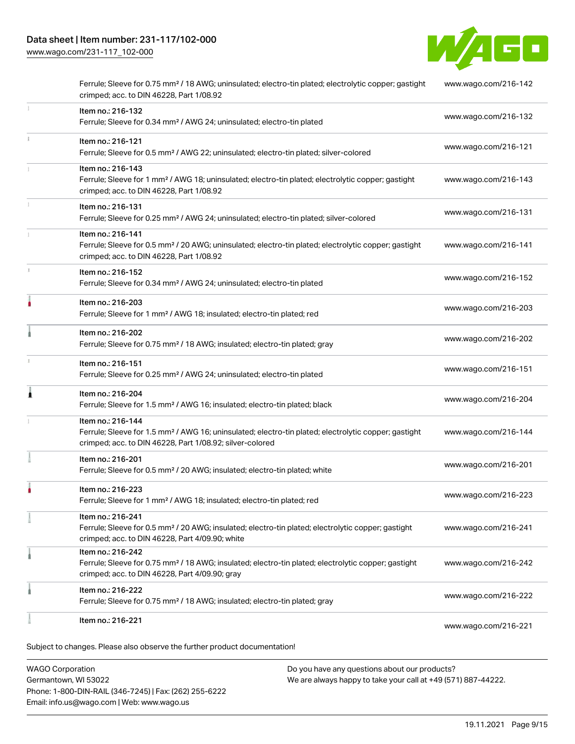[www.wago.com/231-117\\_102-000](http://www.wago.com/231-117_102-000)



|    | Item no.: 216-221                                                                                                                                                                                 | www.wago.com/216-221 |
|----|---------------------------------------------------------------------------------------------------------------------------------------------------------------------------------------------------|----------------------|
|    | Item no.: 216-222<br>Ferrule; Sleeve for 0.75 mm <sup>2</sup> / 18 AWG; insulated; electro-tin plated; gray                                                                                       | www.wago.com/216-222 |
|    | Item no.: 216-242<br>Ferrule; Sleeve for 0.75 mm <sup>2</sup> / 18 AWG; insulated; electro-tin plated; electrolytic copper; gastight<br>crimped; acc. to DIN 46228, Part 4/09.90; gray            | www.wago.com/216-242 |
|    | Item no.: 216-241<br>Ferrule; Sleeve for 0.5 mm <sup>2</sup> / 20 AWG; insulated; electro-tin plated; electrolytic copper; gastight<br>crimped; acc. to DIN 46228, Part 4/09.90; white            | www.wago.com/216-241 |
|    | Item no.: 216-223<br>Ferrule; Sleeve for 1 mm <sup>2</sup> / AWG 18; insulated; electro-tin plated; red                                                                                           | www.wago.com/216-223 |
|    | Item no.: 216-201<br>Ferrule; Sleeve for 0.5 mm <sup>2</sup> / 20 AWG; insulated; electro-tin plated; white                                                                                       | www.wago.com/216-201 |
|    | Item no.: 216-144<br>Ferrule; Sleeve for 1.5 mm <sup>2</sup> / AWG 16; uninsulated; electro-tin plated; electrolytic copper; gastight<br>crimped; acc. to DIN 46228, Part 1/08.92; silver-colored | www.wago.com/216-144 |
| Â  | Item no.: 216-204<br>Ferrule; Sleeve for 1.5 mm <sup>2</sup> / AWG 16; insulated; electro-tin plated; black                                                                                       | www.wago.com/216-204 |
|    | Item no.: 216-151<br>Ferrule; Sleeve for 0.25 mm <sup>2</sup> / AWG 24; uninsulated; electro-tin plated                                                                                           | www.wago.com/216-151 |
|    | Item no.: 216-202<br>Ferrule; Sleeve for 0.75 mm <sup>2</sup> / 18 AWG; insulated; electro-tin plated; gray                                                                                       | www.wago.com/216-202 |
| ۸  | Item no.: 216-203<br>Ferrule; Sleeve for 1 mm <sup>2</sup> / AWG 18; insulated; electro-tin plated; red                                                                                           | www.wago.com/216-203 |
| t. | Item no.: 216-152<br>Ferrule; Sleeve for 0.34 mm <sup>2</sup> / AWG 24; uninsulated; electro-tin plated                                                                                           | www.wago.com/216-152 |
|    | Item no.: 216-141<br>Ferrule; Sleeve for 0.5 mm <sup>2</sup> / 20 AWG; uninsulated; electro-tin plated; electrolytic copper; gastight<br>crimped; acc. to DIN 46228, Part 1/08.92                 | www.wago.com/216-141 |
|    | Item no.: 216-131<br>Ferrule; Sleeve for 0.25 mm <sup>2</sup> / AWG 24; uninsulated; electro-tin plated; silver-colored                                                                           | www.wago.com/216-131 |
|    | Item no.: 216-143<br>Ferrule; Sleeve for 1 mm <sup>2</sup> / AWG 18; uninsulated; electro-tin plated; electrolytic copper; gastight<br>crimped; acc. to DIN 46228, Part 1/08.92                   | www.wago.com/216-143 |
| ī. | Item no.: 216-121<br>Ferrule; Sleeve for 0.5 mm <sup>2</sup> / AWG 22; uninsulated; electro-tin plated; silver-colored                                                                            | www.wago.com/216-121 |
| 1  | Item no.: 216-132<br>Ferrule; Sleeve for 0.34 mm <sup>2</sup> / AWG 24; uninsulated; electro-tin plated                                                                                           | www.wago.com/216-132 |
|    | Ferrule; Sleeve for 0.75 mm <sup>2</sup> / 18 AWG; uninsulated; electro-tin plated; electrolytic copper; gastight<br>crimped; acc. to DIN 46228, Part 1/08.92                                     | www.wago.com/216-142 |

WAGO Corporation Germantown, WI 53022 Phone: 1-800-DIN-RAIL (346-7245) | Fax: (262) 255-6222 Email: info.us@wago.com | Web: www.wago.us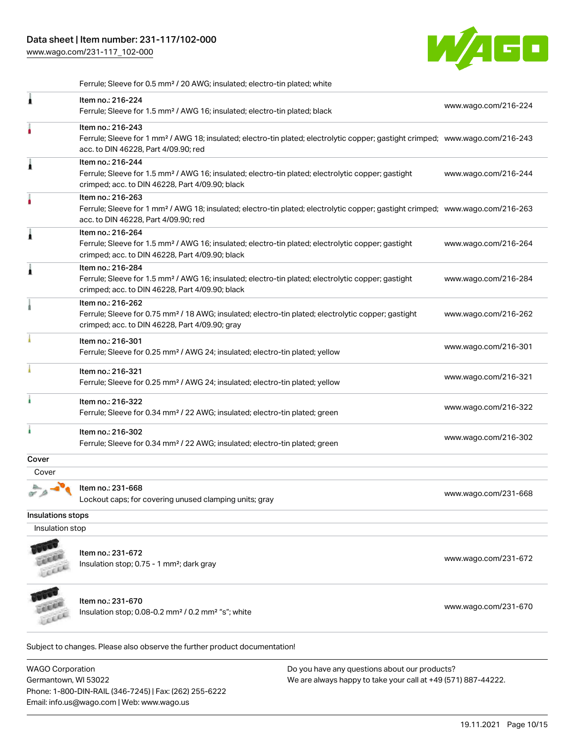Phone: 1-800-DIN-RAIL (346-7245) | Fax: (262) 255-6222

Email: info.us@wago.com | Web: www.wago.us

[www.wago.com/231-117\\_102-000](http://www.wago.com/231-117_102-000)



Ferrule; Sleeve for 0.5 mm² / 20 AWG; insulated; electro-tin plated; white

|                                                 | Item no.: 216-224<br>Ferrule; Sleeve for 1.5 mm <sup>2</sup> / AWG 16; insulated; electro-tin plated; black                                                                                             |                                                                                                                | www.wago.com/216-224 |
|-------------------------------------------------|---------------------------------------------------------------------------------------------------------------------------------------------------------------------------------------------------------|----------------------------------------------------------------------------------------------------------------|----------------------|
|                                                 | Item no.: 216-243<br>Ferrule; Sleeve for 1 mm <sup>2</sup> / AWG 18; insulated; electro-tin plated; electrolytic copper; gastight crimped; www.wago.com/216-243<br>acc. to DIN 46228, Part 4/09.90; red |                                                                                                                |                      |
|                                                 | Item no.: 216-244<br>Ferrule; Sleeve for 1.5 mm <sup>2</sup> / AWG 16; insulated; electro-tin plated; electrolytic copper; gastight<br>crimped; acc. to DIN 46228, Part 4/09.90; black                  |                                                                                                                | www.wago.com/216-244 |
|                                                 | Item no.: 216-263<br>Ferrule; Sleeve for 1 mm <sup>2</sup> / AWG 18; insulated; electro-tin plated; electrolytic copper; gastight crimped; www.wago.com/216-263<br>acc. to DIN 46228, Part 4/09.90; red |                                                                                                                |                      |
|                                                 | Item no.: 216-264<br>Ferrule; Sleeve for 1.5 mm <sup>2</sup> / AWG 16; insulated; electro-tin plated; electrolytic copper; gastight<br>crimped; acc. to DIN 46228, Part 4/09.90; black                  |                                                                                                                | www.wago.com/216-264 |
|                                                 | Item no.: 216-284<br>Ferrule; Sleeve for 1.5 mm <sup>2</sup> / AWG 16; insulated; electro-tin plated; electrolytic copper; gastight<br>crimped; acc. to DIN 46228, Part 4/09.90; black                  |                                                                                                                | www.wago.com/216-284 |
|                                                 | Item no.: 216-262<br>Ferrule; Sleeve for 0.75 mm <sup>2</sup> / 18 AWG; insulated; electro-tin plated; electrolytic copper; gastight<br>crimped; acc. to DIN 46228, Part 4/09.90; gray                  |                                                                                                                | www.wago.com/216-262 |
|                                                 | Item no.: 216-301<br>Ferrule; Sleeve for 0.25 mm <sup>2</sup> / AWG 24; insulated; electro-tin plated; yellow                                                                                           |                                                                                                                | www.wago.com/216-301 |
|                                                 | Item no.: 216-321<br>Ferrule; Sleeve for 0.25 mm <sup>2</sup> / AWG 24; insulated; electro-tin plated; yellow                                                                                           |                                                                                                                | www.wago.com/216-321 |
|                                                 | Item no.: 216-322<br>Ferrule; Sleeve for 0.34 mm <sup>2</sup> / 22 AWG; insulated; electro-tin plated; green                                                                                            |                                                                                                                | www.wago.com/216-322 |
|                                                 | Item no.: 216-302<br>Ferrule; Sleeve for 0.34 mm <sup>2</sup> / 22 AWG; insulated; electro-tin plated; green                                                                                            |                                                                                                                | www.wago.com/216-302 |
| Cover                                           |                                                                                                                                                                                                         |                                                                                                                |                      |
| Cover                                           |                                                                                                                                                                                                         |                                                                                                                |                      |
|                                                 | Item no.: 231-668<br>Lockout caps; for covering unused clamping units; gray                                                                                                                             |                                                                                                                | www.wago.com/231-668 |
| Insulations stops                               |                                                                                                                                                                                                         |                                                                                                                |                      |
| Insulation stop                                 |                                                                                                                                                                                                         |                                                                                                                |                      |
|                                                 | Item no.: 231-672<br>Insulation stop; 0.75 - 1 mm <sup>2</sup> ; dark gray                                                                                                                              |                                                                                                                | www.wago.com/231-672 |
|                                                 | Item no.: 231-670<br>Insulation stop; 0.08-0.2 mm <sup>2</sup> / 0.2 mm <sup>2</sup> "s"; white                                                                                                         |                                                                                                                | www.wago.com/231-670 |
|                                                 | Subject to changes. Please also observe the further product documentation!                                                                                                                              |                                                                                                                |                      |
| <b>WAGO Corporation</b><br>Germantown, WI 53022 |                                                                                                                                                                                                         | Do you have any questions about our products?<br>We are always happy to take your call at +49 (571) 887-44222. |                      |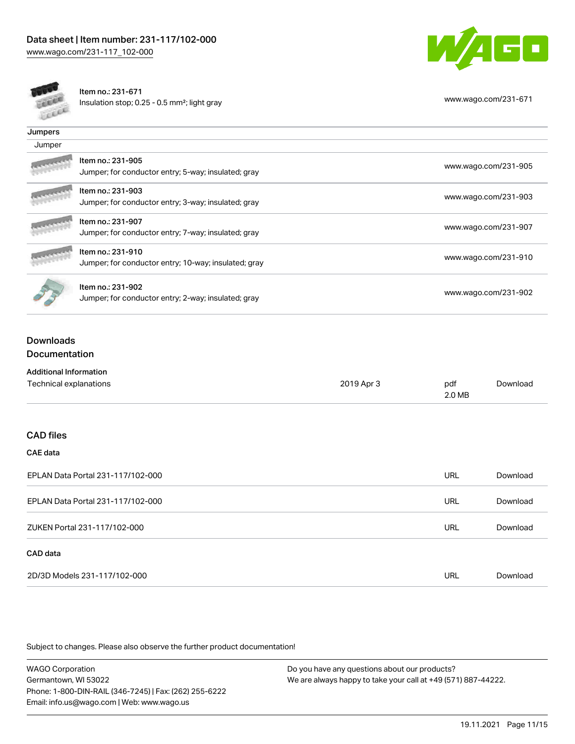



Item no.: 231-671 Insulation stop; 0.25 - 0.5 mm²; light gray [www.wago.com/231-671](http://www.wago.com/231-671)

| Jumpers |                                                                           |                      |
|---------|---------------------------------------------------------------------------|----------------------|
| Jumper  |                                                                           |                      |
|         | Item no.: 231-905<br>Jumper; for conductor entry; 5-way; insulated; gray  | www.wago.com/231-905 |
|         | Item no.: 231-903<br>Jumper; for conductor entry; 3-way; insulated; gray  | www.wago.com/231-903 |
|         | Item no.: 231-907<br>Jumper; for conductor entry; 7-way; insulated; gray  | www.wago.com/231-907 |
|         | Item no.: 231-910<br>Jumper; for conductor entry; 10-way; insulated; gray | www.wago.com/231-910 |
|         | Item no.: 231-902<br>Jumper; for conductor entry; 2-way; insulated; gray  | www.wago.com/231-902 |

## Downloads Documentation

| <b>Additional Information</b>     |            |               |          |
|-----------------------------------|------------|---------------|----------|
| Technical explanations            | 2019 Apr 3 | pdf<br>2.0 MB | Download |
|                                   |            |               |          |
| <b>CAD files</b>                  |            |               |          |
| <b>CAE</b> data                   |            |               |          |
| EPLAN Data Portal 231-117/102-000 |            | <b>URL</b>    | Download |
| EPLAN Data Portal 231-117/102-000 |            | URL           | Download |
| ZUKEN Portal 231-117/102-000      |            | <b>URL</b>    | Download |
| CAD data                          |            |               |          |
| 2D/3D Models 231-117/102-000      |            | URL           | Download |

Subject to changes. Please also observe the further product documentation!

WAGO Corporation Germantown, WI 53022 Phone: 1-800-DIN-RAIL (346-7245) | Fax: (262) 255-6222 Email: info.us@wago.com | Web: www.wago.us Do you have any questions about our products? We are always happy to take your call at +49 (571) 887-44222.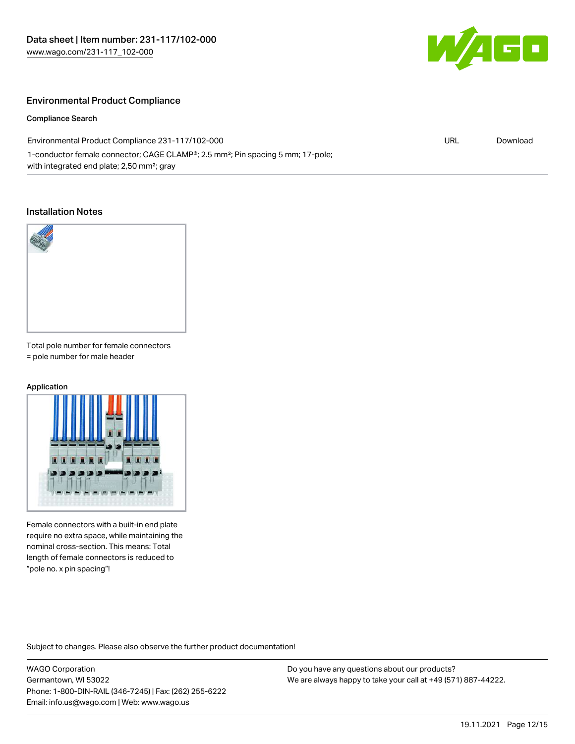

#### Environmental Product Compliance

#### Compliance Search

| Environmental Product Compliance 231-117/102-000                                                         | URL | Download |
|----------------------------------------------------------------------------------------------------------|-----|----------|
| 1-conductor female connector; CAGE CLAMP <sup>®</sup> ; 2.5 mm <sup>2</sup> ; Pin spacing 5 mm; 17-pole; |     |          |
| with integrated end plate; 2,50 mm <sup>2</sup> ; gray                                                   |     |          |

#### Installation Notes



Total pole number for female connectors = pole number for male header

#### Application



Female connectors with a built-in end plate require no extra space, while maintaining the nominal cross-section. This means: Total length of female connectors is reduced to "pole no. x pin spacing"!

Subject to changes. Please also observe the further product documentation!

WAGO Corporation Germantown, WI 53022 Phone: 1-800-DIN-RAIL (346-7245) | Fax: (262) 255-6222 Email: info.us@wago.com | Web: www.wago.us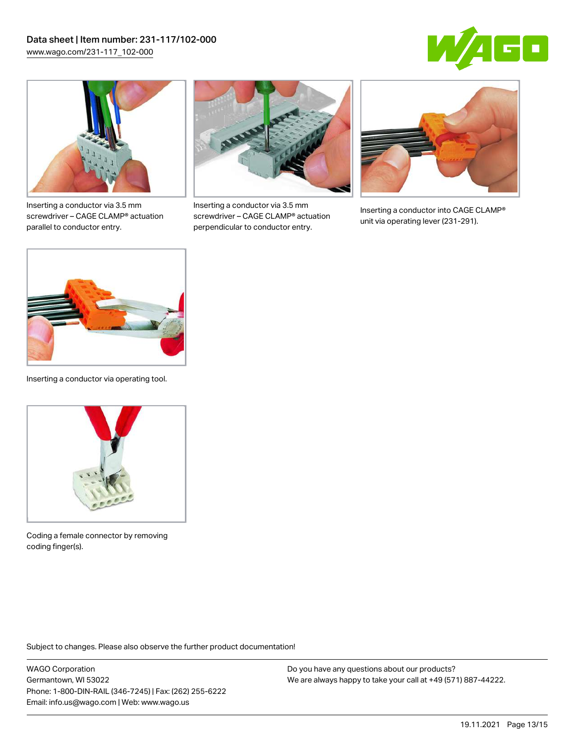



Inserting a conductor via 3.5 mm screwdriver – CAGE CLAMP® actuation parallel to conductor entry.



Inserting a conductor via 3.5 mm screwdriver – CAGE CLAMP® actuation perpendicular to conductor entry.



Inserting a conductor into CAGE CLAMP® unit via operating lever (231-291).



Inserting a conductor via operating tool.



Coding a female connector by removing coding finger(s).

Subject to changes. Please also observe the further product documentation!

WAGO Corporation Germantown, WI 53022 Phone: 1-800-DIN-RAIL (346-7245) | Fax: (262) 255-6222 Email: info.us@wago.com | Web: www.wago.us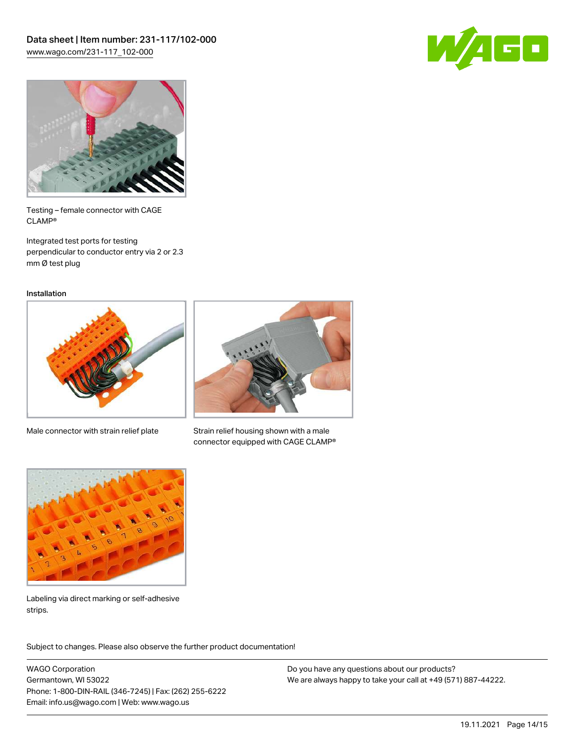



Testing – female connector with CAGE CLAMP®

Integrated test ports for testing perpendicular to conductor entry via 2 or 2.3 mm Ø test plug

Installation



Male connector with strain relief plate



Strain relief housing shown with a male connector equipped with CAGE CLAMP®



Labeling via direct marking or self-adhesive strips.

Subject to changes. Please also observe the further product documentation! Product family

WAGO Corporation Germantown, WI 53022 Phone: 1-800-DIN-RAIL (346-7245) | Fax: (262) 255-6222 Email: info.us@wago.com | Web: www.wago.us